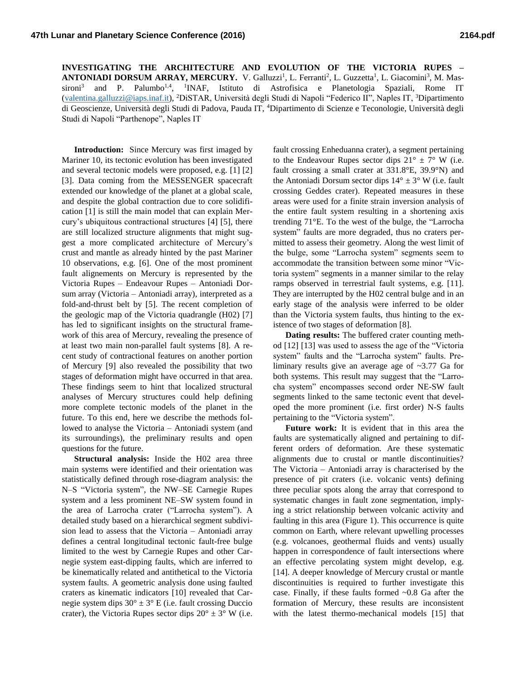**INVESTIGATING THE ARCHITECTURE AND EVOLUTION OF THE VICTORIA RUPES – ANTONIADI DORSUM ARRAY, MERCURY.** V. Galluzzi<sup>1</sup>, L. Ferranti<sup>2</sup>, L. Guzzetta<sup>1</sup>, L. Giacomini<sup>3</sup>, M. Massironi<sup>3</sup> and P. Palumbo<sup>1,4</sup>, <sup>1</sup>INAF, Istituto di Astrofisica e Planetologia Spaziali, Rome IT [\(valentina.galluzzi@iaps.inaf.it\)](mailto:valentina.galluzzi@iaps.inaf.it?subject=About%20%22MERGING%20OF%20NEW%20MERCURY), <sup>2</sup>DiSTAR, Università degli Studi di Napoli "Federico II", Naples IT, <sup>3</sup>Dipartimento di Geoscienze, Università degli Studi di Padova, Pauda IT, <sup>4</sup>Dipartimento di Scienze e Teconologie, Università degli Studi di Napoli "Parthenope", Naples IT

**Introduction:** Since Mercury was first imaged by Mariner 10, its tectonic evolution has been investigated and several tectonic models were proposed, e.g. [1] [2] [3]. Data coming from the MESSENGER spacecraft extended our knowledge of the planet at a global scale, and despite the global contraction due to core solidification [1] is still the main model that can explain Mercury's ubiquitous contractional structures [4] [5], there are still localized structure alignments that might suggest a more complicated architecture of Mercury's crust and mantle as already hinted by the past Mariner 10 observations, e.g. [6]. One of the most prominent fault alignements on Mercury is represented by the Victoria Rupes – Endeavour Rupes – Antoniadi Dorsum array (Victoria – Antoniadi array), interpreted as a fold-and-thrust belt by [5]. The recent completion of the geologic map of the Victoria quadrangle (H02) [7] has led to significant insights on the structural framework of this area of Mercury, revealing the presence of at least two main non-parallel fault systems [8]. A recent study of contractional features on another portion of Mercury [9] also revealed the possibility that two stages of deformation might have occurred in that area. These findings seem to hint that localized structural analyses of Mercury structures could help defining more complete tectonic models of the planet in the future. To this end, here we describe the methods followed to analyse the Victoria – Antoniadi system (and its surroundings), the preliminary results and open questions for the future.

**Structural analysis:** Inside the H02 area three main systems were identified and their orientation was statistically defined through rose-diagram analysis: the N–S "Victoria system", the NW–SE Carnegie Rupes system and a less prominent NE–SW system found in the area of Larrocha crater ("Larrocha system"). A detailed study based on a hierarchical segment subdivision lead to assess that the Victoria – Antoniadi array defines a central longitudinal tectonic fault-free bulge limited to the west by Carnegie Rupes and other Carnegie system east-dipping faults, which are inferred to be kinematically related and antithetical to the Victoria system faults. A geometric analysis done using faulted craters as kinematic indicators [10] revealed that Carnegie system dips  $30^{\circ} \pm 3^{\circ}$  E (i.e. fault crossing Duccio crater), the Victoria Rupes sector dips  $20^{\circ} \pm 3^{\circ}$  W (i.e.

fault crossing Enheduanna crater), a segment pertaining to the Endeavour Rupes sector dips  $21^{\circ} \pm 7^{\circ}$  W (i.e. fault crossing a small crater at 331.8°E, 39.9°N) and the Antoniadi Dorsum sector dips  $14^{\circ} \pm 3^{\circ}$  W (i.e. fault crossing Geddes crater). Repeated measures in these areas were used for a finite strain inversion analysis of the entire fault system resulting in a shortening axis trending 71°E. To the west of the bulge, the "Larrocha system" faults are more degraded, thus no craters permitted to assess their geometry. Along the west limit of the bulge, some "Larrocha system" segments seem to accommodate the transition between some minor "Victoria system" segments in a manner similar to the relay ramps observed in terrestrial fault systems, e.g. [11]. They are interrupted by the H02 central bulge and in an early stage of the analysis were inferred to be older than the Victoria system faults, thus hinting to the existence of two stages of deformation [8].

**Dating results:** The buffered crater counting method [12] [13] was used to assess the age of the "Victoria system" faults and the "Larrocha system" faults. Preliminary results give an average age of ~3.77 Ga for both systems. This result may suggest that the "Larrocha system" encompasses second order NE-SW fault segments linked to the same tectonic event that developed the more prominent (i.e. first order) N-S faults pertaining to the "Victoria system".

**Future work:** It is evident that in this area the faults are systematically aligned and pertaining to different orders of deformation. Are these systematic alignments due to crustal or mantle discontinuities? The Victoria – Antoniadi array is characterised by the presence of pit craters (i.e. volcanic vents) defining three peculiar spots along the array that correspond to systematic changes in fault zone segmentation, implying a strict relationship between volcanic activity and faulting in this area (Figure 1). This occurrence is quite common on Earth, where relevant upwelling processes (e.g. volcanoes, geothermal fluids and vents) usually happen in correspondence of fault intersections where an effective percolating system might develop, e.g. [14]. A deeper knowledge of Mercury crustal or mantle discontinuities is required to further investigate this case. Finally, if these faults formed ~0.8 Ga after the formation of Mercury, these results are inconsistent with the latest thermo-mechanical models [15] that